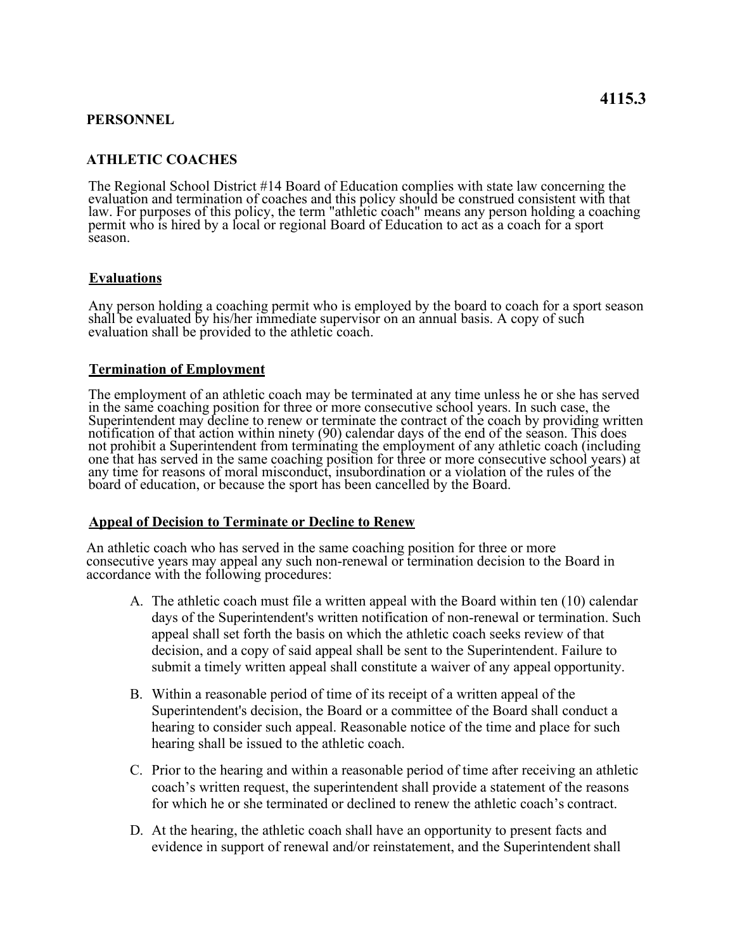## **PERSONNEL**

# **ATHLETIC COACHES**

The Regional School District #14 Board of Education complies with state law concerning the evaluation and termination of coaches and this policy should be construed consistent with that law. For purposes of this policy, the term "athletic coach" means any person holding a coaching permit who is hired by a local or regional Board of Education to act as a coach for a sport season.

## **Evaluations**

Any person holding a coaching permit who is employed by the board to coach for a sport season shall be evaluated by his/her immediate supervisor on an annual basis. A copy of such evaluation shall be provided to the athletic coach.

### **Termination of Employment**

The employment of an athletic coach may be terminated at any time unless he or she has served in the same coaching position for three or more consecutive school years. In such case, the Superintendent may decline to renew or terminate the contract of the coach by providing written notification of that action within ninety (90) calendar days of the end of the season. This does not prohibit a Superintendent from terminating the employment of any athletic coach (including one that has served in the same coaching position for three or more consecutive school years) at any time for reasons of moral misconduct, insubordination or a violation of the rules of the board of education, or because the sport has been cancelled by the Board.

#### **Appeal of Decision to Terminate or Decline to Renew**

An athletic coach who has served in the same coaching position for three or more consecutive years may appeal any such non-renewal or termination decision to the Board in accordance with the following procedures:

- A. The athletic coach must file a written appeal with the Board within ten (10) calendar submit a timely written appeal shall constitute a waiver of any appeal opportunity. days of the Superintendent's written notification of non-renewal or termination. Such appeal shall set forth the basis on which the athletic coach seeks review of that decision, and a copy of said appeal shall be sent to the Superintendent. Failure to
- hearing shall be issued to the athletic coach. B. Within a reasonable period of time of its receipt of a written appeal of the Superintendent's decision, the Board or a committee of the Board shall conduct a hearing to consider such appeal. Reasonable notice of the time and place for such
- coach's written request, the superintendent shall provide a statement of the reasons for which he or she terminated or declined to renew the athletic coach's contract. C. Prior to the hearing and within a reasonable period of time after receiving an athletic
- D. At the hearing, the athletic coach shall have an opportunity to present facts and evidence in support of renewal and/or reinstatement, and the Superintendent shall